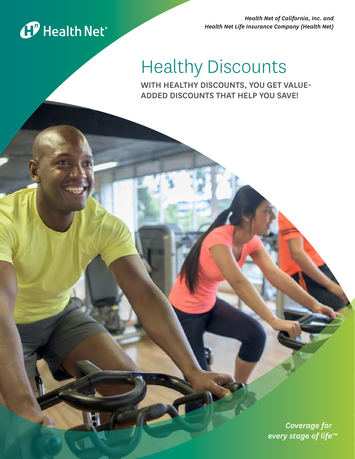

*Health Net of California, Inc. and Health Net Life Insurance Company (Health Net)* 

# Healthy Discounts

WITH HEALTHY DISCOUNTS, YOU GET VALUE-ADDED DISCOUNTS THAT HELP YOU SAVE!

> *Coverage for every stage of life™*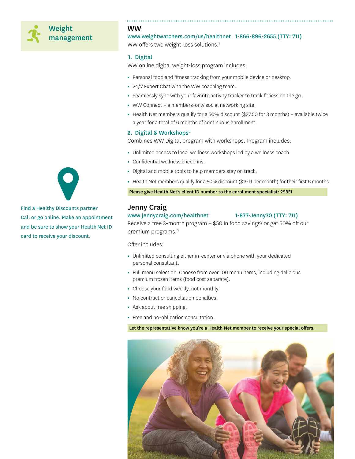# Weight management

WW

www.weightwatchers.com/us/healthnet 1-866-896-2655 (TTY: 711) WW offers two weight-loss solutions:1

# 1. Digital

WW online digital weight-loss program includes:

- **•** Personal food and fitness tracking from your mobile device or desktop.
- **•** 24/7 Expert Chat with the WW coaching team.
- **•** Seamlessly sync with your favorite activity tracker to track fitness on the go.
- **•** WW Connect a members-only social networking site.
- **•** Health Net members qualify for a 50% discount (\$27.50 for 3 months) available twice a year for a total of 6 months of continuous enrollment.

#### 2. Digital & Workshops<sup>2</sup>

Combines WW Digital program with workshops. Program includes:

- **•** Unlimited access to local wellness workshops led by a wellness coach.
- **•** Confidential wellness check-ins.
- **•** Digital and mobile tools to help members stay on track.
- **•** Health Net members qualify for a 50% discount (\$19.11 per month) for their first 6 months

Please give Health Net's client ID number to the enrollment specialist: 29851

# Jenny Craig

# www.jennycraig.com/healthnet 1-877-Jenny70 (TTY: 711)

Receive a free 3-month program  $+$  \$50 in food savings<sup>3</sup> or get 50% off our premium programs.4

Offer includes:

- **•** Unlimited consulting either in-center or via phone with your dedicated personal consultant.
- **•** Full menu selection. Choose from over 100 menu items, including delicious premium frozen items (food cost separate).
- **•** Choose your food weekly, not monthly.
- **•** No contract or cancellation penalties.
- **•** Ask about free shipping.
- **•** Free and no-obligation consultation.

Let the representative know you're a Health Net member to receive your special offers.





Find a Healthy Discounts partner Call or go online. Make an appointment and be sure to show your Health Net ID card to receive your discount.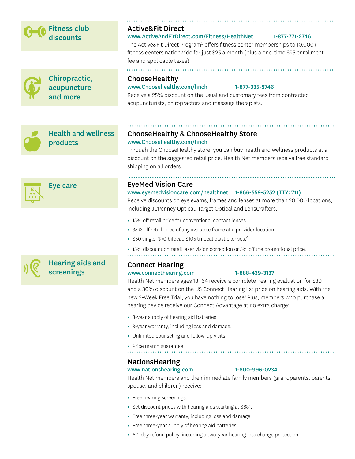# Fitness club discounts

Active&Fit Direct

# www.ActiveAndFitDirect.com/Fitness/HealthNet 1-877-771-2746

The Active&Fit Direct Program<sup>5</sup> offers fitness center memberships to 10,000+ fitness centers nationwide for just \$25 a month (plus a one-time \$25 enrollment fee and applicable taxes).

Chiropractic, acupuncture and more

# ChooseHealthy

### www.Choosehealthy.com/hnch 1-877-335-2746

Receive a 25% discount on the usual and customary fees from contracted acupuncturists, chiropractors and massage therapists.



Health and wellness products



Eye care

Hearing aids and screenings

# ChooseHealthy & ChooseHealthy Store www.Choosehealthy.com/hnch

Through the ChooseHealthy store, you can buy health and wellness products at a discount on the suggested retail price. Health Net members receive free standard shipping on all orders.

# EyeMed Vision Care

# www.eyemedvisioncare.com/healthnet 1-866-559-5252 (TTY: 711)

Receive discounts on eye exams, frames and lenses at more than 20,000 locations, including JCPenney Optical, Target Optical and LensCrafters.

- **•** 15% off retail price for conventional contact lenses.
- **•** 35% off retail price of any available frame at a provider location.
- **•** \$50 single, \$70 bifocal, \$105 trifocal plastic lenses.<sup>6</sup>
- **•** 15% discount on retail laser vision correction or 5% off the promotional price.

# Connect Hearing

# www.connecthearing.com 1-888-439-3137

Health Net members ages 18–64 receive a complete hearing evaluation for \$30 and a 30% discount on the US Connect Hearing list price on hearing aids. With the new 2-Week Free Trial, you have nothing to lose! Plus, members who purchase a hearing device receive our Connect Advantage at no extra charge:

- **•** 3-year supply of hearing aid batteries.
- **•** 3-year warranty, including loss and damage.
- **•** Unlimited counseling and follow-up visits.
- **•** Price match guarantee.

# NationsHearing

# www.nationshearing.com 1-800-996-0234

Health Net members and their immediate family members (grandparents, parents, spouse, and children) receive:

- **•** Free hearing screenings.
- **•** Set discount prices with hearing aids starting at \$681.
- **•** Free three-year warranty, including loss and damage.
- **•** Free three-year supply of hearing aid batteries.
- **•** 60-day refund policy, including a two-year hearing loss change protection.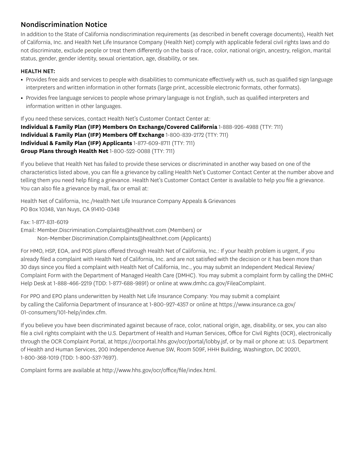# Nondiscrimination Notice

In addition to the State of California nondiscrimination requirements (as described in benefit coverage documents), Health Net of California, Inc. and Health Net Life Insurance Company (Health Net) comply with applicable federal civil rights laws and do not discriminate, exclude people or treat them differently on the basis of race, color, national origin, ancestry, religion, marital status, gender, gender identity, sexual orientation, age, disability, or sex.

# HEALTH NET:

- **•** Provides free aids and services to people with disabilities to communicate effectively with us, such as qualified sign language interpreters and written information in other formats (large print, accessible electronic formats, other formats).
- **•** Provides free language services to people whose primary language is not English, such as qualified interpreters and information written in other languages.

If you need these services, contact Health Net's Customer Contact Center at: **Individual & Family Plan (IFP) Members On Exchange/Covered California** 1-888-926-4988 (TTY: 711) **Individual & Family Plan (IFP) Members Off Exchange** 1-800-839-2172 (TTY: 711) **Individual & Family Plan (IFP) Applicants** 1-877-609-8711 (TTY: 711) **Group Plans through Health Net** 1-800-522-0088 (TTY: 711)

If you believe that Health Net has failed to provide these services or discriminated in another way based on one of the characteristics listed above, you can file a grievance by calling Health Net's Customer Contact Center at the number above and telling them you need help filing a grievance. Health Net's Customer Contact Center is available to help you file a grievance. You can also file a grievance by mail, fax or email at:

Health Net of California, Inc./Health Net Life Insurance Company Appeals & Grievances PO Box 10348, Van Nuys, CA 91410-0348

Fax: 1-877-831-6019 Email: Member.Discrimination.Complaints@healthnet.com (Members) or Non-Member.Discrimination.Complaints@healthnet.com (Applicants)

For HMO, HSP, EOA, and POS plans offered through Health Net of California, Inc.: If your health problem is urgent, if you already filed a complaint with Health Net of California, Inc. and are not satisfied with the decision or it has been more than 30 days since you filed a complaint with Health Net of California, Inc., you may submit an Independent Medical Review/ Complaint Form with the Department of Managed Health Care (DMHC). You may submit a complaint form by calling the DMHC Help Desk at 1-888-466-2219 (TDD: 1-877-688-9891) or online at www.dmhc.ca.gov/FileaComplaint.

For PPO and EPO plans underwritten by Health Net Life Insurance Company: You may submit a complaint by calling the California Department of Insurance at 1-800-927-4357 or online at https://www.insurance.ca.gov/ 01-consumers/101-help/index.cfm.

If you believe you have been discriminated against because of race, color, national origin, age, disability, or sex, you can also file a civil rights complaint with the U.S. Department of Health and Human Services, Office for Civil Rights (OCR), electronically through the OCR Complaint Portal, at https://ocrportal.hhs.gov/ocr/portal/lobby.jsf, or by mail or phone at: U.S. Department of Health and Human Services, 200 Independence Avenue SW, Room 509F, HHH Building, Washington, DC 20201, 1-800-368-1019 (TDD: 1-800-537-7697).

Complaint forms are available at http://www.hhs.gov/ocr/office/file/index.html.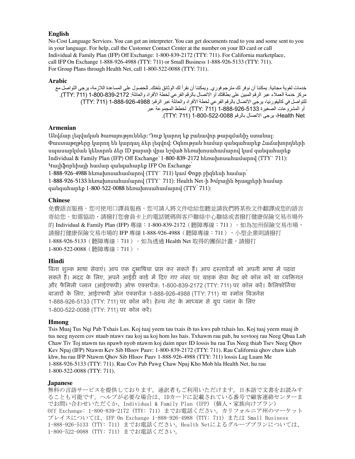### **English**

No Cost Language Services. You can get an interpreter. You can get documents read to you and some sent to you in your language. For help, call the Customer Contact Center at the number on your ID card or call Individual & Family Plan (IFP) Off Exchange: 1-800-839-2172 (TTY: 711). For California marketplace, call IFP On Exchange 1-888-926-4988 (TTY: 711) or Small Business 1-888-926-5133 (TTY: 711). For Group Plans through Health Net, call 1-800-522-0088 (TTY: 711).

### **Arabic**

خدمات لغوية مجانية. يمكننا أن نوفر لك مترجم فوري. ويمكننا أن نقرأ لك الوثائق بلغتك. للحصول على المساعدة الالزمة، يرجى التواصل مع مركز خدمة العملاء عبر الرقم المبين على بطاقتك أو الاتصال بالرقم الفرعي لخطة الأفراد والعائلة: 1722-839-1000 (711 )717). للتواصل في كاليفورنيا، يرجى الاتصال بالرقم الفرعي لخطة الأفراد والعائلة عبر الرقم: 1988-926-888-1 (TTY: 711) أو المشروعات الصغيرة 1-888-926-5133 )711 :TTY). لخطط المجموعة عبر Net Health، يرجى االتصال بالرقم 1-800-522-0088 )711 :TTY).

# **Armenian**

Անվճար լեզվական ծառայություններ: Դուք կարող եք բանավոր թարգմանիչ ստանալ: Փաստաթղթերը կարող են կարդալ ձեր լեզվով: Օգնության համար զանգահարեք Հաճախորդների սպասարկման կենտրոն ձեր ID քարտի վրա նշված հեռախոսահամարով կամ զանգահարեք Individual & Family Plan (IFP) Off Exchange`1-800-839-2172 հեռախոսահամարով (TTY` 711): Կալիֆորնիայի համար զանգահարեք IFP On Exchange՝

1-888-926-4988 հեռախոսահամարով (TTY` 711) կամ Փոքր բիզնեսի համար՝ 1-888-926-5133 հեռախոսահամարով (TTY` 711): Health Net-ի Խմբային ծրագրերի համար զանգահարեք 1-800-522-0088 հեռախոսահամարով (TTY՝ 711):

# **Chinese**

免費語言服務。您可使用口譯員服務。您可請人將文件唸給您聽並請我們將某些文件翻譯成您的語言 寄給您。如需協助,請撥打您會員卡上的電話號碼與客戶聯絡中心聯絡或者撥打健康保險交易市場外 的 Individual & Family Plan (IFP) 專線:1-800-839-2172(聽障專線:711 )。如為加州保險交易市場, 請撥打健康保險交易市場的 IFP 專線 1-888-926-4988 (聽障專線:711),小型企業則請撥打 1-888-926-5133(聽障專線:711)。如為透過 Health Net 取得的團保計畫,請撥打 1-800-522-0088(聽障專線:711)。

# **Hindi**

बिना शुल्क भाषा सेवाएं। आप एक दुभाषिया प्राप्त कर सकते हैं। आप दस्तावेजों को अपनी भाषा में पढ़वा सकते हैं। मदद के लिए, अपने आईडी कार्ड में दिए गए नंबर पर ग्राहक सेवा केंद्र को कॉल करें या व्यक्तिगत और फैमिली प्लान (आईएफपी) ऑफ एक्सचेंज: 1-800-839-2172 (TTY: 711) पर कॉल करें। कैलिफोर्निया िाजारों ्के लिए, आईएफपी ऑन एकसचेंज 1-888-926-4988 )TTY: 711) या समॉि बिजनेस 1-888-926-5133 (TTY: 711) पर कॉल करें। हेल्थ नेट के माध्यम से ग्रुप प्लान के लिए 1-800-522-0088 (TTY: 711) पर कॉल करें।

### **Hmong**

Tsis Muaj Tus Nqi Pab Txhais Lus. Koj tuaj yeem tau txais ib tus kws pab txhais lus. Koj tuaj yeem muaj ib tus neeg nyeem cov ntaub ntawv rau koj ua koj hom lus hais. Txhawm rau pab, hu xovtooj rau Neeg Qhua Lub Chaw Tiv Toj ntawm tus npawb nyob ntawm koj daim npav ID lossis hu rau Tus Neeg thiab Tsev Neeg Qhov Kev Npaj (IFP) Ntawm Kev Sib Hloov Pauv: 1-800-839-2172 (TTY: 711). Rau California qhov chaw kiab khw, hu rau IFP Ntawm Qhov Sib Hloov Pauv 1-888-926-4988 (TTY: 711) lossis Lag Luam Me 1-888-926-5133 (TTY: 711). Rau Cov Pab Pawg Chaw Npaj Kho Mob hla Health Net, hu rau 1-800-522-0088 (TTY: 711).

### **Japanese**

無料の言語サービスを提供しております。通訳者もご利用いただけます。日本語で文書をお読みす ることも可能です。ヘルプが必要な場合は、IDカードに記載されている番号で顧客連絡センターま でお問い合わせいただくか、Individual & Family Plan (IFP) (個人・家族向けプラン) Off Exchange: 1-800-839-2172 (TTY: 711) までお電話ください。カリフォルニア州のマーケット プレイスについては、IFP On Exchange 1-888-926-4988 (TTY: 711) または Small Business 1-888-926-5133 (TTY: 711) までお電話ください。Health Netによるグループプランについては、 1-800-522-0088 (TTY: 711) までお電話ください。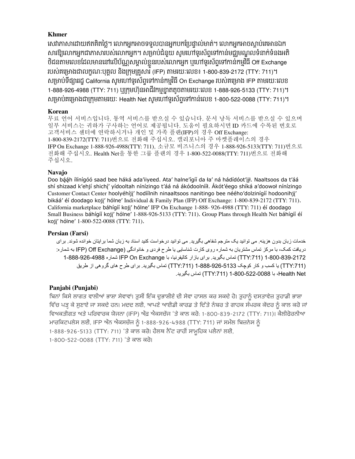# **Khmer**

សេវាភាសាដោយឥតគិតច្លេ។ លោកអ្នកអាចទទួលបានអ្នកបកប្រេច្ចាល់មាត់។ លោកអ្នកអាចស្តាប់គេអានឯក សារឱ្យលោកអ្នកជាភាសារបស់លោកអ្នក។ សម្រាបជនួយ សូមហោទូរសព្វទៅកាន់មជ្ឈមណ្ឌលទនាក់ទំនងអត ថជនតាមលេខដែលមាននោលេបណ្ណសម្គាលខ្លួនរបស់លោកអ្នក ឬហោទូរសព្ទទោកានកម្មវធ Off Exchange របស់គម្រោងជាលក្ខណៈបុគ្គល នងក្រុមគ្រួសារ (IFP) តាមរយៈលេខ៖ 1-800-839-2172 (TTY: 711)។ សម្រាប់ទង្សាររដ្ឋ California សូមហោទូរសព្ទទោកានកម្មវធិ On Exchange របស់គម្រោង IFP តាមរយៈលេខ 1-888-926-4988 (TTY: 711) ឬ្ករុមហ៊ុនអាជីវកម្មខ្្នតតូចតាមរយៈសលខ 1-888-926-5133 (TTY: 711)។ េ្មាប់គស្មាងជា្ករុមតាមរយៈ Health Net េូមសៅទូរេ័ពទាសៅកាន់សលខ 1-800-522-0088 (TTY: 711)។

# **Korean**

무료 언어 서비스입니다. 통역 서비스를 받으실 수 있습니다. 문서 낭독 서비스를 받으실 수 있으며 일부 서비스는 귀하가 구사하는 언어로 제공됩니다. 도움이 필요하시면 ID 카드에 수록된 번호로 고객서비스 센터에 연락하시거나 개인 및 가족 플랜(IFP)의 경우 Off Exchange: 1-800-839-2172(TTY: 711)번으로 전화해 주십시오. 캘리포니아 주 마켓플레이스의 경우 IFP On Exchange 1-888-926-4988(TTY: 711), 소규모 비즈니스의 경우 1-888-926-5133(TTY: 711)번으로 전화해 주십시오. Health Net을 통한 그룹 플랜의 경우 1-800-522-0088(TTY: 711)번으로 전화해 주십시오.

# **Navajo**

Doo bááh ílínígóó saad bee háká ada'iiyeed. Ata' halne'ígíí da ła' ná hádídóot'iił. Naaltsoos da t'áá shí shizaad k'ehjí shichí' yídooltah nínízingo t'áá ná ákódoolnííł. Akót'éego shíká a'doowoł nínízingo Customer Contact Center hoolyéhíji' hodíílnih ninaaltsoos nanitingo bee néého'dolzinígíí hodoonihji' bikáá' éí doodago kojį' hólne' Individual & Family Plan (IFP) Off Exchange: 1-800-839-2172 (TTY: 711). California marketplace báhígíí koji' hólne' IFP On Exchange 1-888- 926-4988 (TTY: 711) éí doodago Small Business báhígíí koji' hólne' 1-888-926-5133 (TTY: 711). Group Plans through Health Net báhígíí éí koji' hólne' 1-800-522-0088 (TTY: 711).

# **Persian (Farsi)**

خدمات زبان بدون هزينه. می توانيد يک مترجم شفاهی بگيريد. می توانيد درخواست کنيد اسناد به زبان شما برايتان خوانده شوند. برای دريافت کمک، با مرکز تماس مشتريان به شماره روی کارت شناسايی يا طرح فردی و خانوادگی (Exchange Off( IFP به شماره: 1-800-839-2172 ):711TTY )تماس بگيريد. برای بازار کاليفرنيا، با Exchange On IFP شماره 1-888-926-4988 ):711TTY )يا کسب و کار کوچک 1-888-926-5133 ):711TTY )تماس بگيريد. برای طرح های گروهی از طريق Net Health، با 1-800-522-0088 ):711TTY )تماس بگيريد.

# **Panjabi (Punjabi)**

ਬਿਨਾਂ ਕਿਸੇ ਲਾਗਤ ਵਾਲੀਆਂ ਭਾਸ਼ਾ ਸੇਵਾਵਾਂ। ਤੁਸੀਂ ਇੱਕ ਦੁਭਾਸ਼ੀਏ ਦੀ ਸੇਵਾ ਹਾਸਲ ਕਰ ਸਕਦੇ ਹੋ। ਤੁਹਾਨੂੰ ਦਸਤਾਵੇਜ਼ ਤੁਹਾਡੀ ਭਾਸ਼ਾ ਵਿੱਚ ਪੜ੍ਹ ਕੇ ਸੁਣਾਏ ਜਾ ਸਕਦੇ ਹਨ। ਮਦਦ ਲਈ, ਆਪਣੇ ਆਈਡੀ ਕਾਰਡ ਤੇ ਦਿੱਤੇ ਨੰਬਰ ਤੇ ਗਾਹਕ ਸੰਪਰਕ ਕੇਂਦਰ ਨੂੰ ਕਾਲ ਕਰੇ ਜਾਂ ਵਿਅਕਤੀਗਤ ਅਤੇ ਪਰਿਵਾਰਕ ਯੋਜਨਾ (IFP) ਔਫ਼ ਐਕਸਚੇਂਜ 'ਤੇ ਕਾਲ ਕਰੋ: 1-800-839-2172 (TTY: 711)। ਕੈਲੀਫੋਰਨੀਆ ਮਾਰਕਿਟਪਲੇਸ ਲਈ, IFP ਔਨ ਐਕਸਚੇਂਜ ਨੂੰ 1-888-926-4988 (TTY: 711) ਜਾਂ ਸਮੌਲ ਬਿਜ਼ਨੇਸ ਨੂੰ 1-888-926-5133 (TTY: 711) 'ਤੇ ਕਾਲ ਕਰੋ। ਹੈਲਥ ਨੈੱਟ ਰਾਹੀਂ ਸਾਮੂਹਿਕ ਪਲੈਨਾਂ ਲਈ, 1-800-522-0088 (TTY: 711) 'ਤੇ ਕਾਲ ਕਰੋ।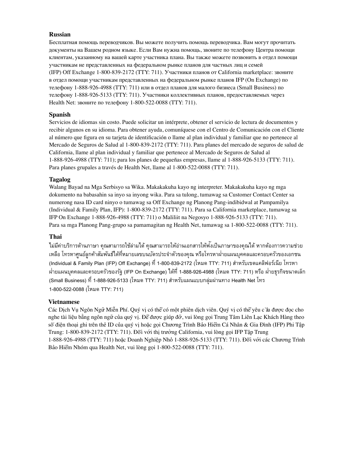### **Russian**

Бесплатная помощь переводчиков. Вы можете получить помощь переводчика. Вам могут прочитать документы на Вашем родном языке. Если Вам нужна помощь, звоните по телефону Центра помощи клиентам, указанному на вашей карте участника плана. Вы также можете позвонить в отдел помощи участникам не представленных на федеральном рынке планов для частных лиц и семей (IFP) Off Exchange 1‑800‑839‑2172 (TTY: 711). Участники планов от California marketplace: звоните в отдел помощи участникам представленных на федеральном рынке планов IFP (On Exchange) по телефону 1-888-926-4988 (ТТҮ: 711) или в отдел планов для малого бизнеса (Small Business) по телефону 1‑888‑926‑5133 (TTY: 711). Участники коллективных планов, предоставляемых через Health Net: звоните по телефону 1‑800‑522‑0088 (TTY: 711).

# **Spanish**

Servicios de idiomas sin costo. Puede solicitar un intérprete, obtener el servicio de lectura de documentos y recibir algunos en su idioma. Para obtener ayuda, comuníquese con el Centro de Comunicación con el Cliente al número que figura en su tarjeta de identificación o llame al plan individual y familiar que no pertenece al Mercado de Seguros de Salud al 1-800-839-2172 (TTY: 711). Para planes del mercado de seguros de salud de California, llame al plan individual y familiar que pertenece al Mercado de Seguros de Salud al 1-888-926-4988 (TTY: 711); para los planes de pequeñas empresas, llame al 1-888-926-5133 (TTY: 711). Para planes grupales a través de Health Net, llame al 1-800-522-0088 (TTY: 711).

# **Tagalog**

Walang Bayad na Mga Serbisyo sa Wika. Makakakuha kayo ng interpreter. Makakakuha kayo ng mga dokumento na babasahin sa inyo sa inyong wika. Para sa tulong, tumawag sa Customer Contact Center sa numerong nasa ID card ninyo o tumawag sa Off Exchange ng Planong Pang-indibidwal at Pampamilya (Individual & Family Plan, IFP): 1-800-839-2172 (TTY: 711). Para sa California marketplace, tumawag sa IFP On Exchange 1-888-926-4988 (TTY: 711) o Maliliit na Negosyo 1-888-926-5133 (TTY: 711). Para sa mga Planong Pang-grupo sa pamamagitan ng Health Net, tumawag sa 1-800-522-0088 (TTY: 711).

# **Thai**

ไม่มีค่าบริการด้านภาษา คุณสามารถใช้ล่ามได้ คุณสามารถให้อ่านเอกสารให้ฟั งเป็นภาษาของคุณได้ หากต้องการความช่วย เหลือ โทรหาศูนย์ลูกค้าสัมพันธ์ใด้ที่หมายเลขบนบัตรประจำตัวของคุณ หรือโทรหาฝายแผนบุคคลและครอบครัวของเอกชน (Individual & Family Plan (IFP) Off Exchange) ที่ 1-800-839-2172 (โหมด TTY: 711) สำหรับเขตแคลิฟอร์เนีย โทรหา ี ฝ่ายแผนบุคคลและครอบครัวของรัฐ (IFP On Exchange) ได้ที่ 1-888-926-4988 (โหมด TTY: 711) หรือ ฝ่ายธุรกิจขนาดเล็ก (Small Business) ที่ 1-888-926-5133 (โหมด TTY: 711) สำหรับแผนแบบกลุ่มผ่านทาง Health Net โทร **Panjabi (Punjabi)** 1-800-522-0088 (โหมด TTY: 711)

# **Vietnamese**

Các Dịch Vụ Ngôn Ngữ Miễn Phí. Quý vị có thể có một phiên dịch viên. Quý vị có thể yêu cầu được đọc cho nghe tài liệu bằng ngôn ngữ của quý vị. Để được giúp đỡ, vui lòng gọi Trung Tâm Liên Lạc Khách Hàng theo số điện thoại ghi trên thẻ ID của quý vị hoặc gọi Chương Trình Bảo Hiểm Cá Nhân & Gia Đình (IFP) Phi Tập Trung: 1‑800‑839‑2172 (TTY: 711). Đối với thị trường California, vui lòng gọi IFP Tập Trung 1‑888‑926‑4988 (TTY: 711) hoặc Doanh Nghiệp Nhỏ 1‑888‑926‑5133 (TTY: 711). Đối với các Chương Trình Bảo Hiểm Nhóm qua Health Net, vui lòng gọi 1‑800‑522‑0088 (TTY: 711).